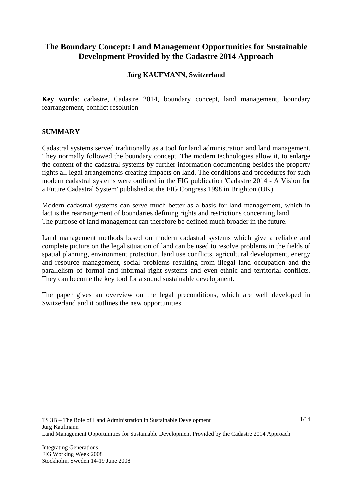## **The Boundary Concept: Land Management Opportunities for Sustainable Development Provided by the Cadastre 2014 Approach**

## **Jürg KAUFMANN, Switzerland**

**Key words**: cadastre, Cadastre 2014, boundary concept, land management, boundary rearrangement, conflict resolution

#### **SUMMARY**

Cadastral systems served traditionally as a tool for land administration and land management. They normally followed the boundary concept. The modern technologies allow it, to enlarge the content of the cadastral systems by further information documenting besides the property rights all legal arrangements creating impacts on land. The conditions and procedures for such modern cadastral systems were outlined in the FIG publication 'Cadastre 2014 - A Vision for a Future Cadastral System' published at the FIG Congress 1998 in Brighton (UK).

Modern cadastral systems can serve much better as a basis for land management, which in fact is the rearrangement of boundaries defining rights and restrictions concerning land. The purpose of land management can therefore be defined much broader in the future.

Land management methods based on modern cadastral systems which give a reliable and complete picture on the legal situation of land can be used to resolve problems in the fields of spatial planning, environment protection, land use conflicts, agricultural development, energy and resource management, social problems resulting from illegal land occupation and the parallelism of formal and informal right systems and even ethnic and territorial conflicts. They can become the key tool for a sound sustainable development.

The paper gives an overview on the legal preconditions, which are well developed in Switzerland and it outlines the new opportunities.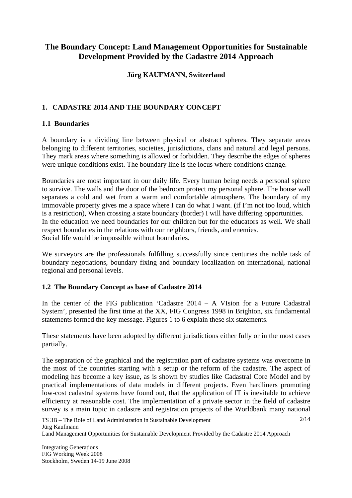## **The Boundary Concept: Land Management Opportunities for Sustainable Development Provided by the Cadastre 2014 Approach**

## **Jürg KAUFMANN, Switzerland**

## **1. CADASTRE 2014 AND THE BOUNDARY CONCEPT**

## **1.1 Boundaries**

A boundary is a dividing line between physical or abstract spheres. They separate areas belonging to different territories, societies, jurisdictions, clans and natural and legal persons. They mark areas where something is allowed or forbidden. They describe the edges of spheres were unique conditions exist. The boundary line is the locus where conditions change.

Boundaries are most important in our daily life. Every human being needs a personal sphere to survive. The walls and the door of the bedroom protect my personal sphere. The house wall separates a cold and wet from a warm and comfortable atmosphere. The boundary of my immovable property gives me a space where I can do what I want. (if I'm not too loud, which is a restriction), When crossing a state boundary (border) I will have differing opportunities. In the education we need boundaries for our children but for the educators as well. We shall respect boundaries in the relations with our neighbors, friends, and enemies. Social life would be impossible without boundaries.

We surveyors are the professionals fulfilling successfully since centuries the noble task of boundary negotiations, boundary fixing and boundary localization on international, national regional and personal levels.

## **1.2 The Boundary Concept as base of Cadastre 2014**

In the center of the FIG publication 'Cadastre 2014 – A VIsion for a Future Cadastral System', presented the first time at the XX, FIG Congress 1998 in Brighton, six fundamental statements formed the key message. Figures 1 to 6 explain these six statements.

These statements have been adopted by different jurisdictions either fully or in the most cases partially.

The separation of the graphical and the registration part of cadastre systems was overcome in the most of the countries starting with a setup or the reform of the cadastre. The aspect of modeling has become a key issue, as is shown by studies like Cadastral Core Model and by practical implementations of data models in different projects. Even hardliners promoting low-cost cadastral systems have found out, that the application of IT is inevitable to achieve efficiency at reasonable cost. The implementation of a private sector in the field of cadastre survey is a main topic in cadastre and registration projects of the Worldbank many national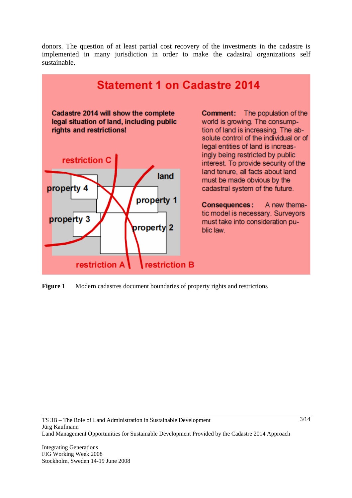donors. The question of at least partial cost recovery of the investments in the cadastre is implemented in many jurisdiction in order to make the cadastral organizations self sustainable.



**Figure 1** Modern cadastres document boundaries of property rights and restrictions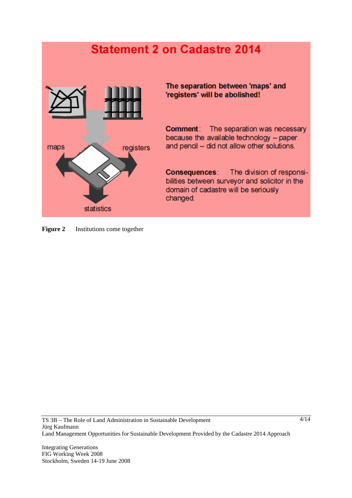## **Statement 2 on Cadastre 2014**



The separation between 'maps' and 'registers' will be abolished!

**Comment:** The separation was necessary because the available technology - paper and pencil - did not allow other solutions.

**Consequences:** The division of responsibilities between surveyor and solicitor in the domain of cadastre will be seriously changed.

**Figure 2** Institutions come together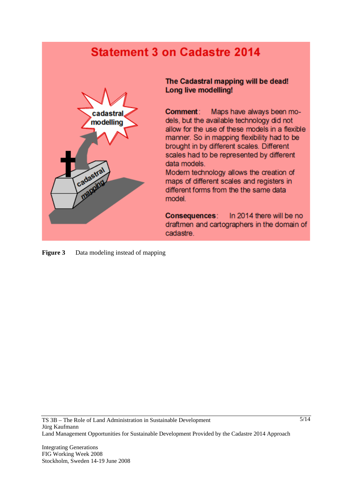# **Statement 3 on Cadastre 2014**



The Cadastral mapping will be dead! Long live modelling!

**Comment:** Maps have always been models, but the available technology did not allow for the use of these models in a flexible manner. So in mapping flexibility had to be brought in by different scales. Different scales had to be represented by different data models.

Modern technology allows the creation of maps of different scales and registers in different forms from the the same data model.

In 2014 there will be no Consequences: draftmen and cartographers in the domain of cadastre.

**Figure 3** Data modeling instead of mapping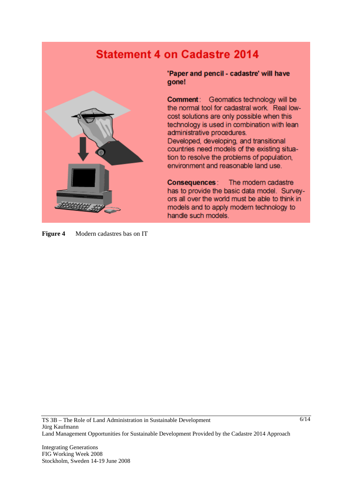# **Statement 4 on Cadastre 2014**



'Paper and pencil - cadastre' will have gone!

**Comment:** Geomatics technology will be the normal tool for cadastral work. Real lowcost solutions are only possible when this technology is used in combination with lean administrative procedures.

Developed, developing, and transitional countries need models of the existing situation to resolve the problems of population, environment and reasonable land use.

**Consequences:** The modern cadastre has to provide the basic data model. Surveyors all over the world must be able to think in models and to apply modern technology to handle such models.

**Figure 4** Modern cadastres bas on IT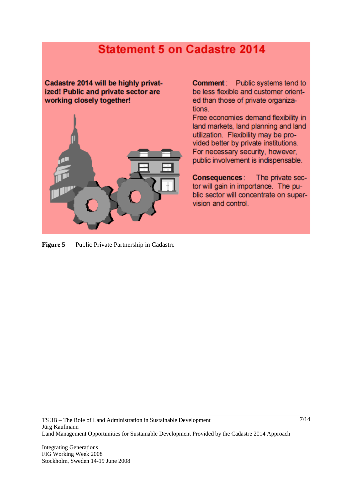## **Statement 5 on Cadastre 2014**

Cadastre 2014 will be highly privatized! Public and private sector are working closely together!



**Comment:** Public systems tend to be less flexible and customer oriented than those of private organizations.

Free economies demand flexibility in land markets, land planning and land utilization. Flexibility may be provided better by private institutions. For necessary security, however, public involvement is indispensable.

**Consequences:** The private sector will gain in importance. The public sector will concentrate on supervision and control.

**Figure 5** Public Private Partnership in Cadastre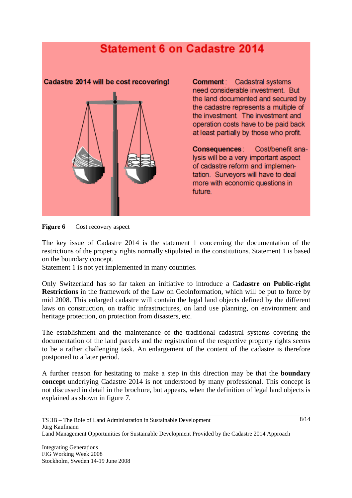## **Statement 6 on Cadastre 2014**



**Comment:** Cadastral systems need considerable investment. But the land documented and secured by the cadastre represents a multiple of the investment The investment and operation costs have to be paid back at least partially by those who profit.

Cost/benefit ana-**Consequences:** lysis will be a very important aspect of cadastre reform and implementation. Surveyors will have to deal more with economic questions in future.

**Figure 6** Cost recovery aspect

The key issue of Cadastre 2014 is the statement 1 concerning the documentation of the restrictions of the property rights normally stipulated in the constitutions. Statement 1 is based on the boundary concept.

Statement 1 is not yet implemented in many countries.

Only Switzerland has so far taken an initiative to introduce a C**adastre on Public-right Restrictions** in the framework of the Law on Geoinformation, which will be put to force by mid 2008. This enlarged cadastre will contain the legal land objects defined by the different laws on construction, on traffic infrastructures, on land use planning, on environment and heritage protection, on protection from disasters, etc.

The establishment and the maintenance of the traditional cadastral systems covering the documentation of the land parcels and the registration of the respective property rights seems to be a rather challenging task. An enlargement of the content of the cadastre is therefore postponed to a later period.

A further reason for hesitating to make a step in this direction may be that the **boundary concept** underlying Cadastre 2014 is not understood by many professional. This concept is not discussed in detail in the brochure, but appears, when the definition of legal land objects is explained as shown in figure 7.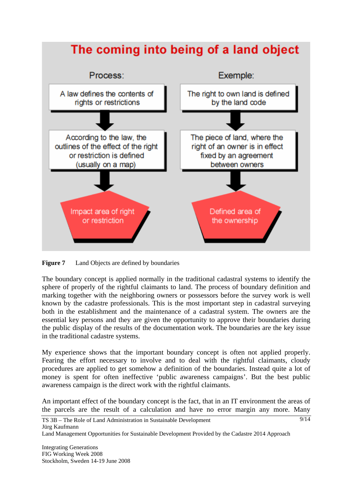

**Figure 7** Land Objects are defined by boundaries

The boundary concept is applied normally in the traditional cadastral systems to identify the sphere of properly of the rightful claimants to land. The process of boundary definition and marking together with the neighboring owners or possessors before the survey work is well known by the cadastre professionals. This is the most important step in cadastral surveying both in the establishment and the maintenance of a cadastral system. The owners are the essential key persons and they are given the opportunity to approve their boundaries during the public display of the results of the documentation work. The boundaries are the key issue in the traditional cadastre systems.

My experience shows that the important boundary concept is often not applied properly. Fearing the effort necessary to involve and to deal with the rightful claimants, cloudy procedures are applied to get somehow a definition of the boundaries. Instead quite a lot of money is spent for often ineffective 'public awareness campaigns'. But the best public awareness campaign is the direct work with the rightful claimants.

An important effect of the boundary concept is the fact, that in an IT environment the areas of the parcels are the result of a calculation and have no error margin any more. Many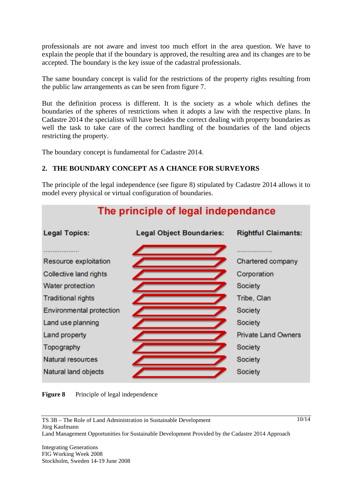professionals are not aware and invest too much effort in the area question. We have to explain the people that if the boundary is approved, the resulting area and its changes are to be accepted. The boundary is the key issue of the cadastral professionals.

The same boundary concept is valid for the restrictions of the property rights resulting from the public law arrangements as can be seen from figure 7.

But the definition process is different. It is the society as a whole which defines the boundaries of the spheres of restrictions when it adopts a law with the respective plans. In Cadastre 2014 the specialists will have besides the correct dealing with property boundaries as well the task to take care of the correct handling of the boundaries of the land objects restricting the property.

The boundary concept is fundamental for Cadastre 2014.

## **2. THE BOUNDARY CONCEPT AS A CHANCE FOR SURVEYORS**

The principle of the legal independence (see figure 8) stipulated by Cadastre 2014 allows it to model every physical or virtual configuration of boundaries.





Integrating Generations FIG Working Week 2008 Stockholm, Sweden 14-19 June 2008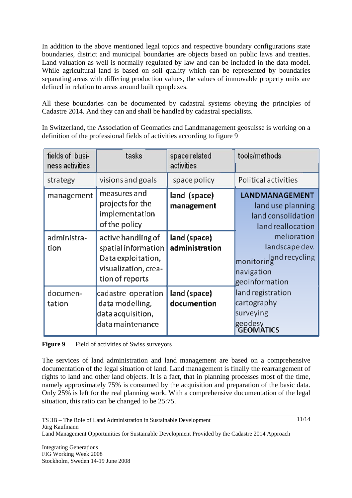In addition to the above mentioned legal topics and respective boundary configurations state boundaries, district and municipal boundaries are objects based on public laws and treaties. Land valuation as well is normally regulated by law and can be included in the data model. While agricultural land is based on soil quality which can be represented by boundaries separating areas with differing production values, the values of immovable property units are defined in relation to areas around built cpmplexes.

All these boundaries can be documented by cadastral systems obeying the principles of Cadastre 2014. And they can and shall be handled by cadastral specialists.

In Switzerland, the Association of Geomatics and Landmanagement geosuisse is working on a definition of the professional fields of activities according to figure 9

| fields of busi-<br>ness activities | tasks                                                                                                      | space related<br>activities    | tools/methods                                                                             |
|------------------------------------|------------------------------------------------------------------------------------------------------------|--------------------------------|-------------------------------------------------------------------------------------------|
| strategy                           | visions and goals                                                                                          | space policy                   | <b>Political activities</b>                                                               |
| management                         | measures and<br>projects for the<br>implementation<br>of the policy                                        | land (space)<br>management     | LANDMANAGEMENT<br>land use planning<br>land consolidation<br>land reallocation            |
| administra-<br>tion                | active handling of<br>spatial information<br>Data exploitation,<br>visualization, crea-<br>tion of reports | land (space)<br>administration | melioration<br>landscape dev.<br>monitoring<br>monitoring<br>navigation<br>geoinformation |
| documen-<br>tation                 | cadastre operation<br>data modelling,<br>data acquisition,<br>data maintenance                             | land (space)<br>documention    | land registration<br>cartography<br>surveying<br>geodesy<br><b>GEOMATICS</b>              |

**Figure 9** Field of activities of Swiss surveyors

The services of land administration and land management are based on a comprehensive documentation of the legal situation of land. Land management is finally the rearrangement of rights to land and other land objects. It is a fact, that in planning processes most of the time, namely approximately 75% is consumed by the acquisition and preparation of the basic data. Only 25% is left for the real planning work. With a comprehensive documentation of the legal situation, this ratio can be changed to be 25:75.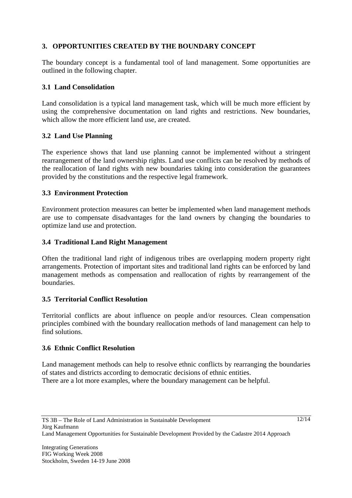## **3. OPPORTUNITIES CREATED BY THE BOUNDARY CONCEPT**

The boundary concept is a fundamental tool of land management. Some opportunities are outlined in the following chapter.

## **3.1 Land Consolidation**

Land consolidation is a typical land management task, which will be much more efficient by using the comprehensive documentation on land rights and restrictions. New boundaries, which allow the more efficient land use, are created.

## **3.2 Land Use Planning**

The experience shows that land use planning cannot be implemented without a stringent rearrangement of the land ownership rights. Land use conflicts can be resolved by methods of the reallocation of land rights with new boundaries taking into consideration the guarantees provided by the constitutions and the respective legal framework.

## **3.3 Environment Protection**

Environment protection measures can better be implemented when land management methods are use to compensate disadvantages for the land owners by changing the boundaries to optimize land use and protection.

## **3.4 Traditional Land Right Management**

Often the traditional land right of indigenous tribes are overlapping modern property right arrangements. Protection of important sites and traditional land rights can be enforced by land management methods as compensation and reallocation of rights by rearrangement of the boundaries.

## **3.5 Territorial Conflict Resolution**

Territorial conflicts are about influence on people and/or resources. Clean compensation principles combined with the boundary reallocation methods of land management can help to find solutions.

## **3.6 Ethnic Conflict Resolution**

Land management methods can help to resolve ethnic conflicts by rearranging the boundaries of states and districts according to democratic decisions of ethnic entities.

There are a lot more examples, where the boundary management can be helpful.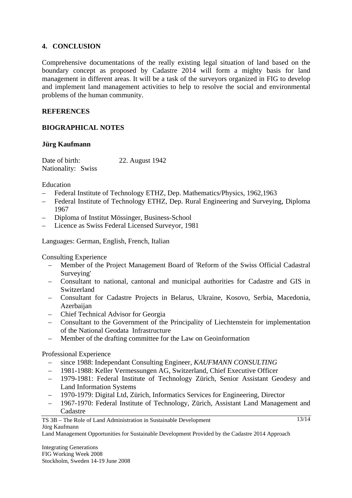## **4. CONCLUSION**

Comprehensive documentations of the really existing legal situation of land based on the boundary concept as proposed by Cadastre 2014 will form a mighty basis for land management in different areas. It will be a task of the surveyors organized in FIG to develop and implement land management activities to help to resolve the social and environmental problems of the human community.

## **REFERENCES**

## **BIOGRAPHICAL NOTES**

## **Jürg Kaufmann**

Date of birth: 22. August 1942 Nationality: Swiss

Education

- Federal Institute of Technology ETHZ, Dep. Mathematics/Physics, 1962,1963
- Federal Institute of Technology ETHZ, Dep. Rural Engineering and Surveying, Diploma 1967
- Diploma of Institut Mössinger, Business-School
- Licence as Swiss Federal Licensed Surveyor, 1981

Languages: German, English, French, Italian

Consulting Experience

- Member of the Project Management Board of 'Reform of the Swiss Official Cadastral Surveying'
- Consultant to national, cantonal and municipal authorities for Cadastre and GIS in Switzerland
- Consultant for Cadastre Projects in Belarus, Ukraine, Kosovo, Serbia, Macedonia, Azerbaijan
- Chief Technical Advisor for Georgia
- Consultant to the Government of the Principality of Liechtenstein for implementation of the National Geodata Infrastructure
- Member of the drafting committee for the Law on Geoinformation

#### Professional Experience

- since 1988: Independant Consulting Engineer, *KAUFMANN CONSULTING*
- 1981-1988: Keller Vermessungen AG, Switzerland, Chief Executive Officer
- 1979-1981: Federal Institute of Technology Zürich, Senior Assistant Geodesy and Land Information Systems
- 1970-1979: Digital Ltd, Zürich, Informatics Services for Engineering, Director
- 1967-1970: Federal Institute of Technology, Zürich, Assistant Land Management and Cadastre

TS 3B – The Role of Land Administration in Sustainable Development Jürg Kaufmann

Land Management Opportunities for Sustainable Development Provided by the Cadastre 2014 Approach